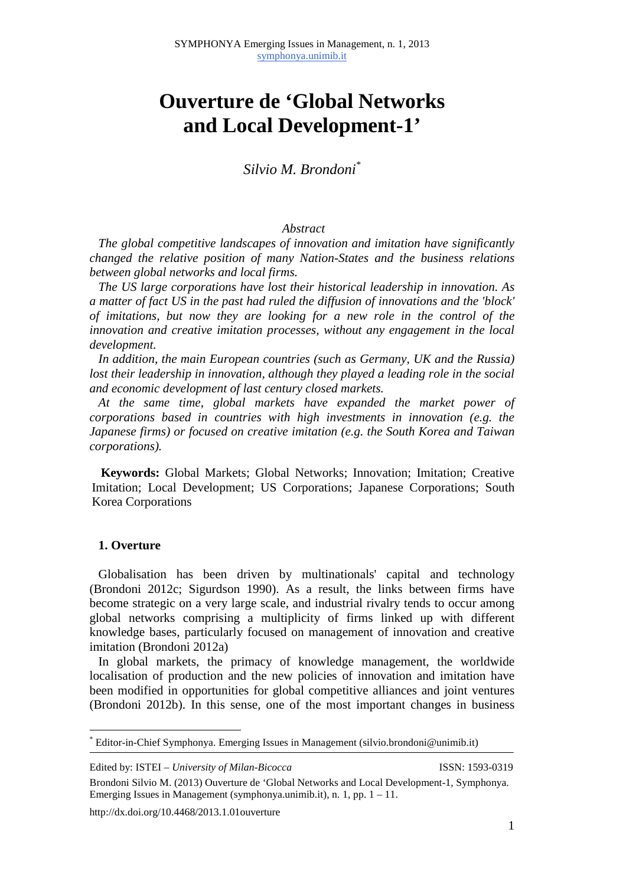# **Ouverture de 'Global Networks and Local Development-1'**

# *Silvio M. Brondoni\**

#### *Abstract*

*The global competitive landscapes of innovation and imitation have significantly changed the relative position of many Nation-States and the business relations between global networks and local firms.* 

*The US large corporations have lost their historical leadership in innovation. As a matter of fact US in the past had ruled the diffusion of innovations and the 'block' of imitations, but now they are looking for a new role in the control of the innovation and creative imitation processes, without any engagement in the local development.* 

*In addition, the main European countries (such as Germany, UK and the Russia)*  lost their leadership in innovation, although they played a leading role in the social *and economic development of last century closed markets.* 

*At the same time, global markets have expanded the market power of corporations based in countries with high investments in innovation (e.g. the Japanese firms) or focused on creative imitation (e.g. the South Korea and Taiwan corporations).* 

**Keywords:** Global Markets; Global Networks; Innovation; Imitation; Creative Imitation; Local Development; US Corporations; Japanese Corporations; South Korea Corporations

#### **1. Overture**

 $\overline{a}$ 

Globalisation has been driven by multinationals' capital and technology (Brondoni 2012c; Sigurdson 1990). As a result, the links between firms have become strategic on a very large scale, and industrial rivalry tends to occur among global networks comprising a multiplicity of firms linked up with different knowledge bases, particularly focused on management of innovation and creative imitation (Brondoni 2012a)

In global markets, the primacy of knowledge management, the worldwide localisation of production and the new policies of innovation and imitation have been modified in opportunities for global competitive alliances and joint ventures (Brondoni 2012b). In this sense, one of the most important changes in business

Edited by: ISTEI – *University of Milan-Bicocca* ISSN: 1593-0319

http://dx.doi.org/10.4468/2013.1.01ouverture

<sup>\*</sup> Editor-in-Chief Symphonya. Emerging Issues in Management (silvio.brondoni@unimib.it)

Brondoni Silvio M. (2013) Ouverture de 'Global Networks and Local Development-1, Symphonya. Emerging Issues in Management (symphonya.unimib.it), n. 1, pp. 1 – 11.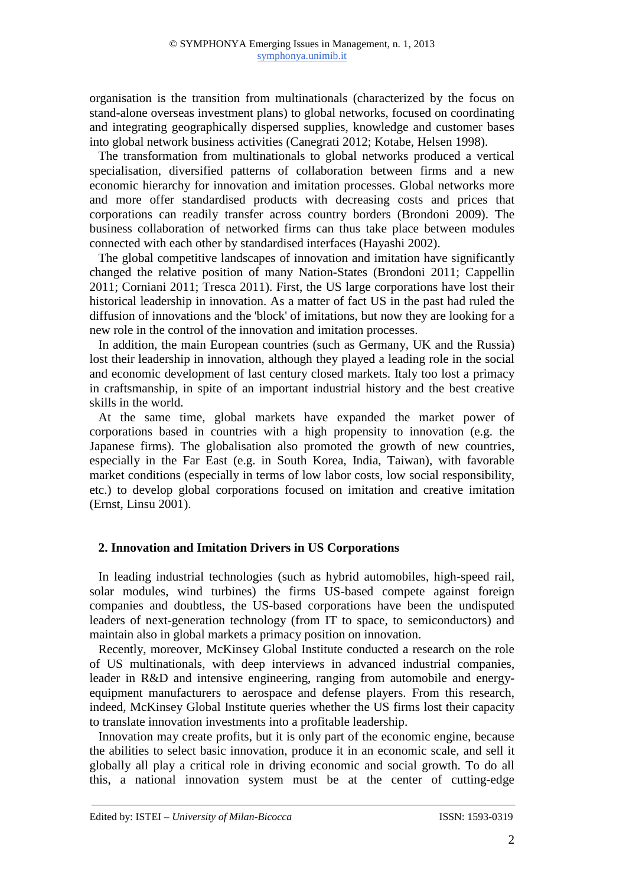organisation is the transition from multinationals (characterized by the focus on stand-alone overseas investment plans) to global networks, focused on coordinating and integrating geographically dispersed supplies, knowledge and customer bases into global network business activities (Canegrati 2012; Kotabe, Helsen 1998).

The transformation from multinationals to global networks produced a vertical specialisation, diversified patterns of collaboration between firms and a new economic hierarchy for innovation and imitation processes. Global networks more and more offer standardised products with decreasing costs and prices that corporations can readily transfer across country borders (Brondoni 2009). The business collaboration of networked firms can thus take place between modules connected with each other by standardised interfaces (Hayashi 2002).

The global competitive landscapes of innovation and imitation have significantly changed the relative position of many Nation-States (Brondoni 2011; Cappellin 2011; Corniani 2011; Tresca 2011). First, the US large corporations have lost their historical leadership in innovation. As a matter of fact US in the past had ruled the diffusion of innovations and the 'block' of imitations, but now they are looking for a new role in the control of the innovation and imitation processes.

In addition, the main European countries (such as Germany, UK and the Russia) lost their leadership in innovation, although they played a leading role in the social and economic development of last century closed markets. Italy too lost a primacy in craftsmanship, in spite of an important industrial history and the best creative skills in the world.

At the same time, global markets have expanded the market power of corporations based in countries with a high propensity to innovation (e.g. the Japanese firms). The globalisation also promoted the growth of new countries, especially in the Far East (e.g. in South Korea, India, Taiwan), with favorable market conditions (especially in terms of low labor costs, low social responsibility, etc.) to develop global corporations focused on imitation and creative imitation (Ernst, Linsu 2001).

## **2. Innovation and Imitation Drivers in US Corporations**

In leading industrial technologies (such as hybrid automobiles, high-speed rail, solar modules, wind turbines) the firms US-based compete against foreign companies and doubtless, the US-based corporations have been the undisputed leaders of next-generation technology (from IT to space, to semiconductors) and maintain also in global markets a primacy position on innovation.

Recently, moreover, McKinsey Global Institute conducted a research on the role of US multinationals, with deep interviews in advanced industrial companies, leader in R&D and intensive engineering, ranging from automobile and energyequipment manufacturers to aerospace and defense players. From this research, indeed, McKinsey Global Institute queries whether the US firms lost their capacity to translate innovation investments into a profitable leadership.

Innovation may create profits, but it is only part of the economic engine, because the abilities to select basic innovation, produce it in an economic scale, and sell it globally all play a critical role in driving economic and social growth. To do all this, a national innovation system must be at the center of cutting-edge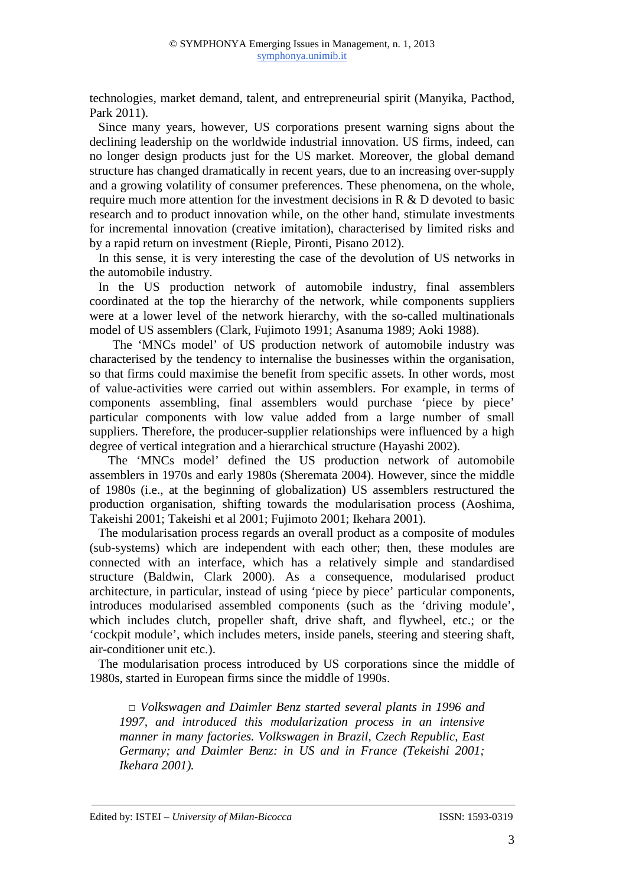technologies, market demand, talent, and entrepreneurial spirit (Manyika, Pacthod, Park 2011).

Since many years, however, US corporations present warning signs about the declining leadership on the worldwide industrial innovation. US firms, indeed, can no longer design products just for the US market. Moreover, the global demand structure has changed dramatically in recent years, due to an increasing over-supply and a growing volatility of consumer preferences. These phenomena, on the whole, require much more attention for the investment decisions in R & D devoted to basic research and to product innovation while, on the other hand, stimulate investments for incremental innovation (creative imitation), characterised by limited risks and by a rapid return on investment (Rieple, Pironti, Pisano 2012).

In this sense, it is very interesting the case of the devolution of US networks in the automobile industry.

In the US production network of automobile industry, final assemblers coordinated at the top the hierarchy of the network, while components suppliers were at a lower level of the network hierarchy, with the so-called multinationals model of US assemblers (Clark, Fujimoto 1991; Asanuma 1989; Aoki 1988).

 The 'MNCs model' of US production network of automobile industry was characterised by the tendency to internalise the businesses within the organisation, so that firms could maximise the benefit from specific assets. In other words, most of value-activities were carried out within assemblers. For example, in terms of components assembling, final assemblers would purchase 'piece by piece' particular components with low value added from a large number of small suppliers. Therefore, the producer-supplier relationships were influenced by a high degree of vertical integration and a hierarchical structure (Hayashi 2002).

 The 'MNCs model' defined the US production network of automobile assemblers in 1970s and early 1980s (Sheremata 2004). However, since the middle of 1980s (i.e., at the beginning of globalization) US assemblers restructured the production organisation, shifting towards the modularisation process (Aoshima, Takeishi 2001; Takeishi et al 2001; Fujimoto 2001; Ikehara 2001).

The modularisation process regards an overall product as a composite of modules (sub-systems) which are independent with each other; then, these modules are connected with an interface, which has a relatively simple and standardised structure (Baldwin, Clark 2000). As a consequence, modularised product architecture, in particular, instead of using 'piece by piece' particular components, introduces modularised assembled components (such as the 'driving module', which includes clutch, propeller shaft, drive shaft, and flywheel, etc.; or the 'cockpit module', which includes meters, inside panels, steering and steering shaft, air-conditioner unit etc.).

The modularisation process introduced by US corporations since the middle of 1980s, started in European firms since the middle of 1990s.

*□ Volkswagen and Daimler Benz started several plants in 1996 and 1997, and introduced this modularization process in an intensive manner in many factories. Volkswagen in Brazil, Czech Republic, East Germany; and Daimler Benz: in US and in France (Tekeishi 2001; Ikehara 2001).*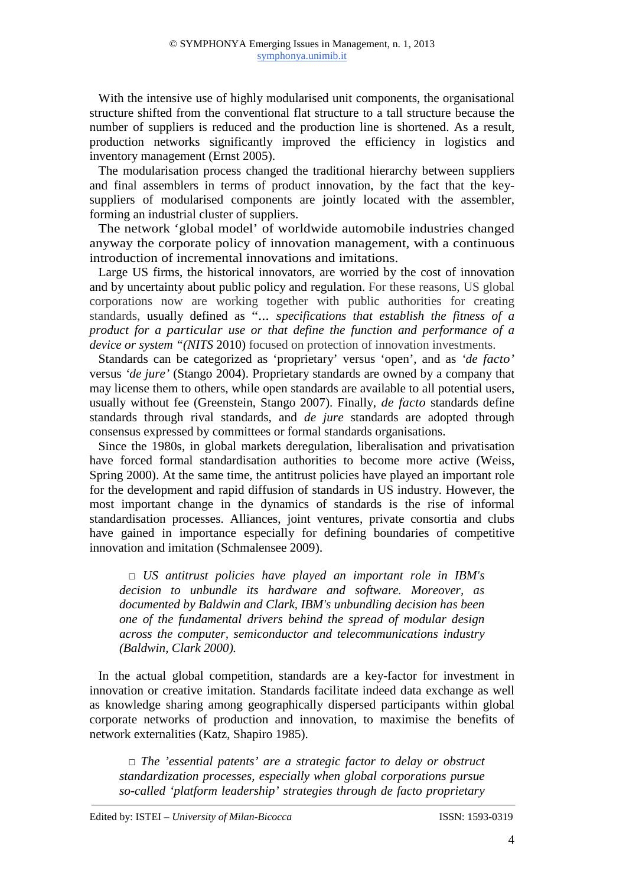With the intensive use of highly modularised unit components, the organisational structure shifted from the conventional flat structure to a tall structure because the number of suppliers is reduced and the production line is shortened. As a result, production networks significantly improved the efficiency in logistics and inventory management (Ernst 2005).

The modularisation process changed the traditional hierarchy between suppliers and final assemblers in terms of product innovation, by the fact that the keysuppliers of modularised components are jointly located with the assembler, forming an industrial cluster of suppliers.

The network 'global model' of worldwide automobile industries changed anyway the corporate policy of innovation management, with a continuous introduction of incremental innovations and imitations.

Large US firms, the historical innovators, are worried by the cost of innovation and by uncertainty about public policy and regulation. For these reasons, US global corporations now are working together with public authorities for creating standards, usually defined as "... *specifications that establish the fitness of a product for a particular use or that define the function and performance of a device or system "(NITS* 2010) focused on protection of innovation investments.

Standards can be categorized as 'proprietary' versus 'open', and as *'de facto'*  versus *'de jure'* (Stango 2004). Proprietary standards are owned by a company that may license them to others, while open standards are available to all potential users, usually without fee (Greenstein, Stango 2007). Finally, *de facto* standards define standards through rival standards, and *de jure* standards are adopted through consensus expressed by committees or formal standards organisations.

Since the 1980s, in global markets deregulation, liberalisation and privatisation have forced formal standardisation authorities to become more active (Weiss, Spring 2000). At the same time, the antitrust policies have played an important role for the development and rapid diffusion of standards in US industry. However, the most important change in the dynamics of standards is the rise of informal standardisation processes. Alliances, joint ventures, private consortia and clubs have gained in importance especially for defining boundaries of competitive innovation and imitation (Schmalensee 2009).

*□ US antitrust policies have played an important role in IBM's decision to unbundle its hardware and software. Moreover, as documented by Baldwin and Clark, IBM's unbundling decision has been one of the fundamental drivers behind the spread of modular design across the computer, semiconductor and telecommunications industry (Baldwin, Clark 2000).*

In the actual global competition, standards are a key-factor for investment in innovation or creative imitation. Standards facilitate indeed data exchange as well as knowledge sharing among geographically dispersed participants within global corporate networks of production and innovation, to maximise the benefits of network externalities (Katz, Shapiro 1985).

*□ The 'essential patents' are a strategic factor to delay or obstruct standardization processes, especially when global corporations pursue so-called 'platform leadership' strategies through de facto proprietary*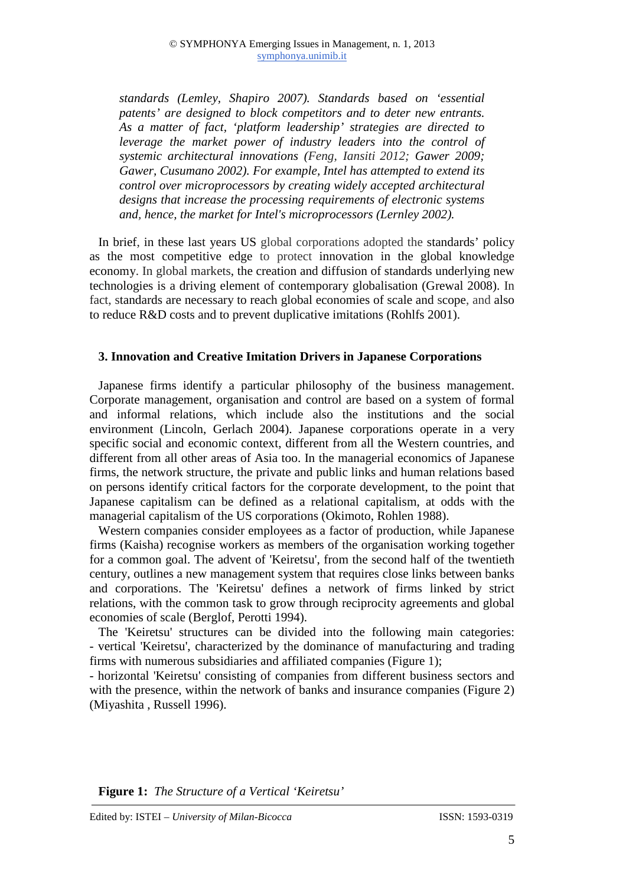*standards (Lemley, Shapiro 2007). Standards based on 'essential patents' are designed to block competitors and to deter new entrants. As a matter of fact, 'platform leadership' strategies are directed to*  leverage the market power of industry leaders into the control of *systemic architectural innovations (Feng, Iansiti 2012; Gawer 2009; Gawer, Cusumano 2002). For example, Intel has attempted to extend its control over microprocessors by creating widely accepted architectural designs that increase the processing requirements of electronic systems and, hence, the market for Intel's microprocessors (Lernley 2002).* 

In brief, in these last years US global corporations adopted the standards' policy as the most competitive edge to protect innovation in the global knowledge economy. In global markets, the creation and diffusion of standards underlying new technologies is a driving element of contemporary globalisation (Grewal 2008). In fact, standards are necessary to reach global economies of scale and scope, and also to reduce R&D costs and to prevent duplicative imitations (Rohlfs 2001).

### **3. Innovation and Creative Imitation Drivers in Japanese Corporations**

Japanese firms identify a particular philosophy of the business management. Corporate management, organisation and control are based on a system of formal and informal relations, which include also the institutions and the social environment (Lincoln, Gerlach 2004). Japanese corporations operate in a very specific social and economic context, different from all the Western countries, and different from all other areas of Asia too. In the managerial economics of Japanese firms, the network structure, the private and public links and human relations based on persons identify critical factors for the corporate development, to the point that Japanese capitalism can be defined as a relational capitalism, at odds with the managerial capitalism of the US corporations (Okimoto, Rohlen 1988).

Western companies consider employees as a factor of production, while Japanese firms (Kaisha) recognise workers as members of the organisation working together for a common goal. The advent of 'Keiretsu', from the second half of the twentieth century, outlines a new management system that requires close links between banks and corporations. The 'Keiretsu' defines a network of firms linked by strict relations, with the common task to grow through reciprocity agreements and global economies of scale (Berglof, Perotti 1994).

The 'Keiretsu' structures can be divided into the following main categories: - vertical 'Keiretsu', characterized by the dominance of manufacturing and trading firms with numerous subsidiaries and affiliated companies (Figure 1);

- horizontal 'Keiretsu' consisting of companies from different business sectors and with the presence, within the network of banks and insurance companies (Figure 2) (Miyashita , Russell 1996).

**Figure 1:** *The Structure of a Vertical 'Keiretsu'*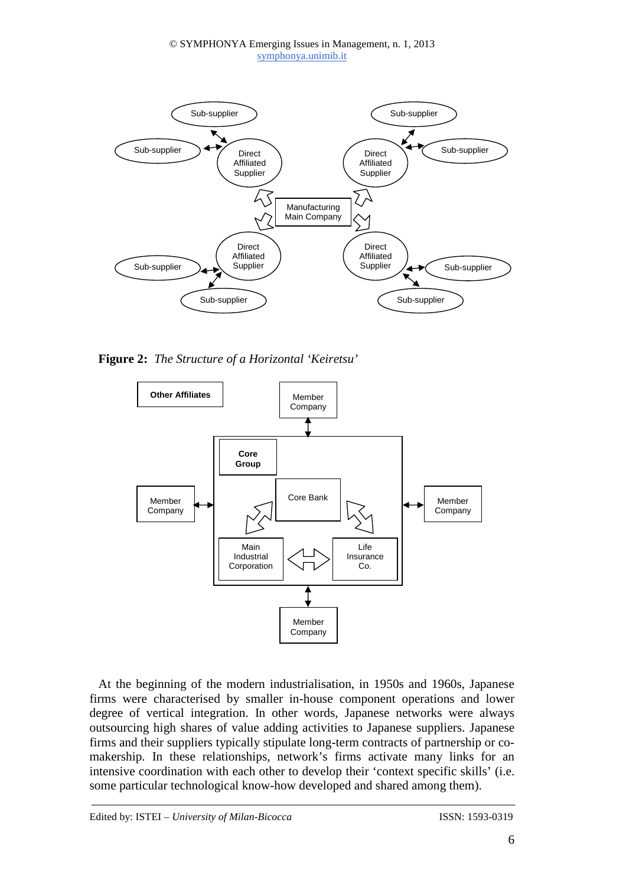

**Figure 2:** *The Structure of a Horizontal 'Keiretsu'*



At the beginning of the modern industrialisation, in 1950s and 1960s, Japanese firms were characterised by smaller in-house component operations and lower degree of vertical integration. In other words, Japanese networks were always outsourcing high shares of value adding activities to Japanese suppliers. Japanese firms and their suppliers typically stipulate long-term contracts of partnership or comakership. In these relationships, network's firms activate many links for an intensive coordination with each other to develop their 'context specific skills' (i.e. some particular technological know-how developed and shared among them).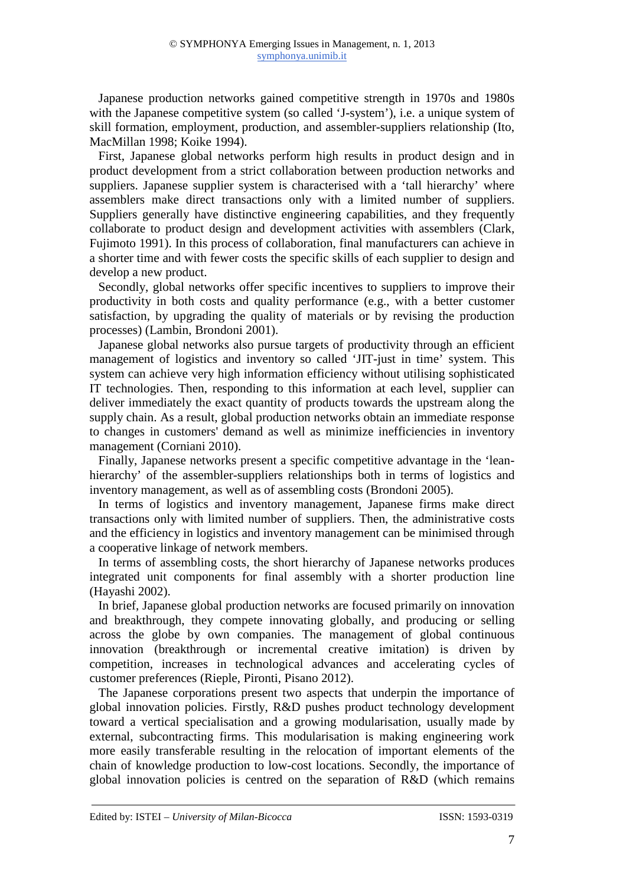Japanese production networks gained competitive strength in 1970s and 1980s with the Japanese competitive system (so called 'J-system'), i.e. a unique system of skill formation, employment, production, and assembler-suppliers relationship (Ito, MacMillan 1998; Koike 1994).

First, Japanese global networks perform high results in product design and in product development from a strict collaboration between production networks and suppliers. Japanese supplier system is characterised with a 'tall hierarchy' where assemblers make direct transactions only with a limited number of suppliers. Suppliers generally have distinctive engineering capabilities, and they frequently collaborate to product design and development activities with assemblers (Clark, Fujimoto 1991). In this process of collaboration, final manufacturers can achieve in a shorter time and with fewer costs the specific skills of each supplier to design and develop a new product.

Secondly, global networks offer specific incentives to suppliers to improve their productivity in both costs and quality performance (e.g., with a better customer satisfaction, by upgrading the quality of materials or by revising the production processes) (Lambin, Brondoni 2001).

Japanese global networks also pursue targets of productivity through an efficient management of logistics and inventory so called 'JIT-just in time' system. This system can achieve very high information efficiency without utilising sophisticated IT technologies. Then, responding to this information at each level, supplier can deliver immediately the exact quantity of products towards the upstream along the supply chain. As a result, global production networks obtain an immediate response to changes in customers' demand as well as minimize inefficiencies in inventory management (Corniani 2010).

Finally, Japanese networks present a specific competitive advantage in the 'leanhierarchy' of the assembler-suppliers relationships both in terms of logistics and inventory management, as well as of assembling costs (Brondoni 2005).

In terms of logistics and inventory management, Japanese firms make direct transactions only with limited number of suppliers. Then, the administrative costs and the efficiency in logistics and inventory management can be minimised through a cooperative linkage of network members.

In terms of assembling costs, the short hierarchy of Japanese networks produces integrated unit components for final assembly with a shorter production line (Hayashi 2002).

In brief, Japanese global production networks are focused primarily on innovation and breakthrough, they compete innovating globally, and producing or selling across the globe by own companies. The management of global continuous innovation (breakthrough or incremental creative imitation) is driven by competition, increases in technological advances and accelerating cycles of customer preferences (Rieple, Pironti, Pisano 2012).

The Japanese corporations present two aspects that underpin the importance of global innovation policies. Firstly, R&D pushes product technology development toward a vertical specialisation and a growing modularisation, usually made by external, subcontracting firms. This modularisation is making engineering work more easily transferable resulting in the relocation of important elements of the chain of knowledge production to low-cost locations. Secondly, the importance of global innovation policies is centred on the separation of R&D (which remains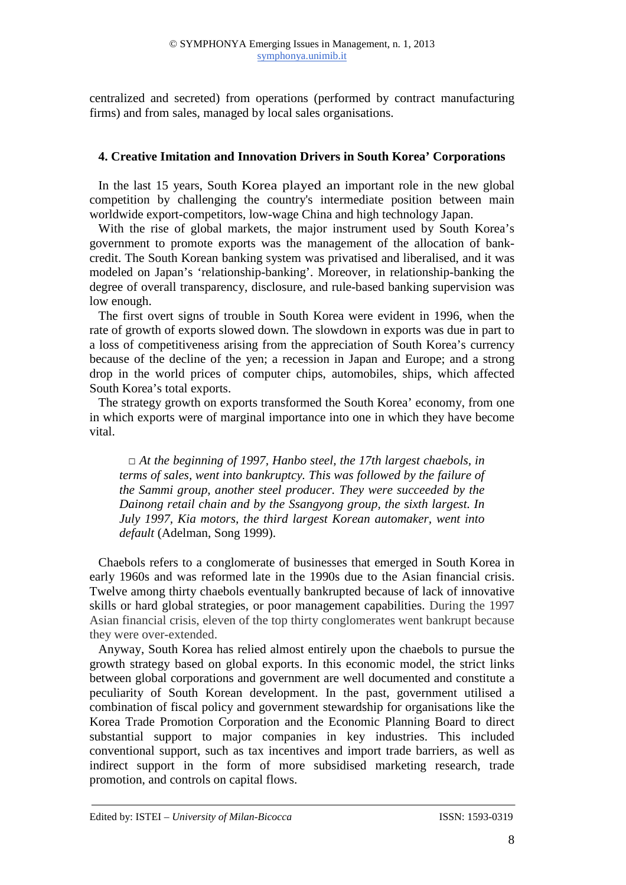centralized and secreted) from operations (performed by contract manufacturing firms) and from sales, managed by local sales organisations.

## **4. Creative Imitation and Innovation Drivers in South Korea' Corporations**

In the last 15 years, South Korea played an important role in the new global competition by challenging the country's intermediate position between main worldwide export-competitors, low-wage China and high technology Japan.

With the rise of global markets, the major instrument used by South Korea's government to promote exports was the management of the allocation of bankcredit. The South Korean banking system was privatised and liberalised, and it was modeled on Japan's 'relationship-banking'. Moreover, in relationship-banking the degree of overall transparency, disclosure, and rule-based banking supervision was low enough.

The first overt signs of trouble in South Korea were evident in 1996, when the rate of growth of exports slowed down. The slowdown in exports was due in part to a loss of competitiveness arising from the appreciation of South Korea's currency because of the decline of the yen; a recession in Japan and Europe; and a strong drop in the world prices of computer chips, automobiles, ships, which affected South Korea's total exports.

The strategy growth on exports transformed the South Korea' economy, from one in which exports were of marginal importance into one in which they have become vital.

□ At the beginning of 1997, Hanbo steel, the 17th largest chaebols, in *terms of sales, went into bankruptcy. This was followed by the failure of the Sammi group, another steel producer. They were succeeded by the Dainong retail chain and by the Ssangyong group, the sixth largest. In July 1997, Kia motors, the third largest Korean automaker, went into default* (Adelman, Song 1999).

Chaebols refers to a conglomerate of businesses that emerged in South Korea in early 1960s and was reformed late in the 1990s due to the Asian financial crisis. Twelve among thirty chaebols eventually bankrupted because of lack of innovative skills or hard global strategies, or poor management capabilities. During the 1997 Asian financial crisis, eleven of the top thirty conglomerates went bankrupt because they were over-extended.

Anyway, South Korea has relied almost entirely upon the chaebols to pursue the growth strategy based on global exports. In this economic model, the strict links between global corporations and government are well documented and constitute a peculiarity of South Korean development. In the past, government utilised a combination of fiscal policy and government stewardship for organisations like the Korea Trade Promotion Corporation and the Economic Planning Board to direct substantial support to major companies in key industries. This included conventional support, such as tax incentives and import trade barriers, as well as indirect support in the form of more subsidised marketing research, trade promotion, and controls on capital flows.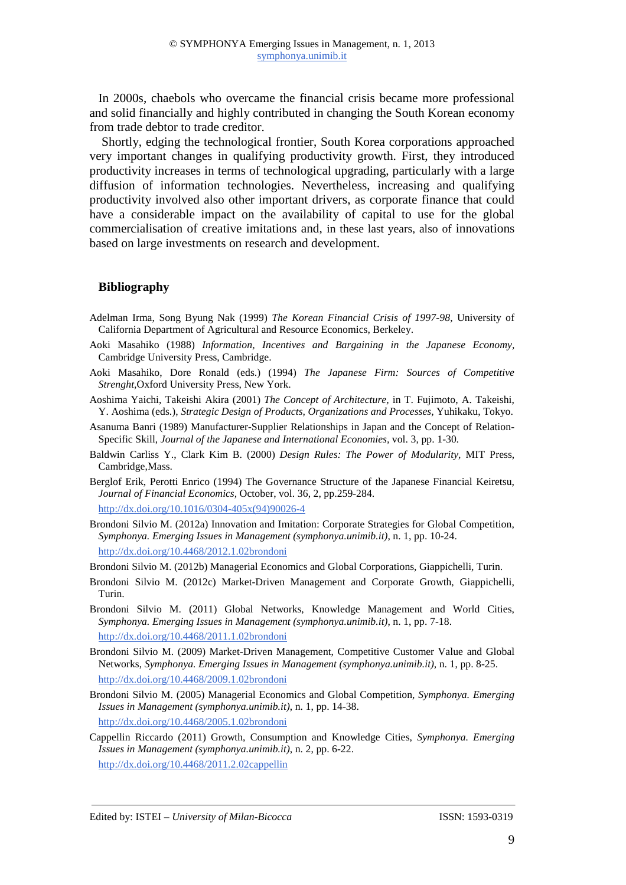In 2000s, chaebols who overcame the financial crisis became more professional and solid financially and highly contributed in changing the South Korean economy from trade debtor to trade creditor.

 Shortly, edging the technological frontier, South Korea corporations approached very important changes in qualifying productivity growth. First, they introduced productivity increases in terms of technological upgrading, particularly with a large diffusion of information technologies. Nevertheless, increasing and qualifying productivity involved also other important drivers, as corporate finance that could have a considerable impact on the availability of capital to use for the global commercialisation of creative imitations and, in these last years, also of innovations based on large investments on research and development.

#### **Bibliography**

- Adelman Irma, Song Byung Nak (1999) *The Korean Financial Crisis of 1997-98*, University of California Department of Agricultural and Resource Economics, Berkeley.
- Aoki Masahiko (1988) *Information, Incentives and Bargaining in the Japanese Economy,*  Cambridge University Press, Cambridge.
- Aoki Masahiko, Dore Ronald (eds.) (1994) *The Japanese Firm: Sources of Competitive Strenght,*Oxford University Press, New York.
- Aoshima Yaichi, Takeishi Akira (2001) *The Concept of Architecture,* in T. Fujimoto, A. Takeishi, Y. Aoshima (eds.), *Strategic Design of Products, Organizations and Processes,* Yuhikaku, Tokyo.
- Asanuma Banri (1989) Manufacturer-Supplier Relationships in Japan and the Concept of Relation-Specific Skill, *Journal of the Japanese and International Economies,* vol. 3, pp. 1-30*.*
- Baldwin Carliss Y., Clark Kim B. (2000) *Design Rules: The Power of Modularity,* MIT Press, Cambridge,Mass.
- Berglof Erik, Perotti Enrico (1994) The Governance Structure of the Japanese Financial Keiretsu, *Journal of Financial Economics,* October, vol. 36, 2, pp.259-284. http://dx.doi.org/10.1016/0304-405x(94)90026-4
- Brondoni Silvio M. (2012a) Innovation and Imitation: Corporate Strategies for Global Competition, *Symphonya. Emerging Issues in Management (symphonya.unimib.it)*, n. 1, pp. 10-24. http://dx.doi.org/10.4468/2012.1.02brondoni
- Brondoni Silvio M. (2012b) Managerial Economics and Global Corporations, Giappichelli, Turin.
- Brondoni Silvio M. (2012c) Market-Driven Management and Corporate Growth, Giappichelli, Turin.
- Brondoni Silvio M. (2011) Global Networks, Knowledge Management and World Cities, *Symphonya. Emerging Issues in Management (symphonya.unimib.it)*, n. 1, pp. 7-18. http://dx.doi.org/10.4468/2011.1.02brondoni
- Brondoni Silvio M. (2009) Market-Driven Management, Competitive Customer Value and Global Networks, *Symphonya. Emerging Issues in Management (symphonya.unimib.it),* n. 1, pp. 8-25. http://dx.doi.org/10.4468/2009.1.02brondoni
- Brondoni Silvio M. (2005) Managerial Economics and Global Competition, *Symphonya. Emerging Issues in Management (symphonya.unimib.it)*, n. 1, pp. 14-38. http://dx.doi.org/10.4468/2005.1.02brondoni
- Cappellin Riccardo (2011) Growth, Consumption and Knowledge Cities, *Symphonya. Emerging Issues in Management (symphonya.unimib.it)*, n. 2, pp. 6-22. http://dx.doi.org/10.4468/2011.2.02cappellin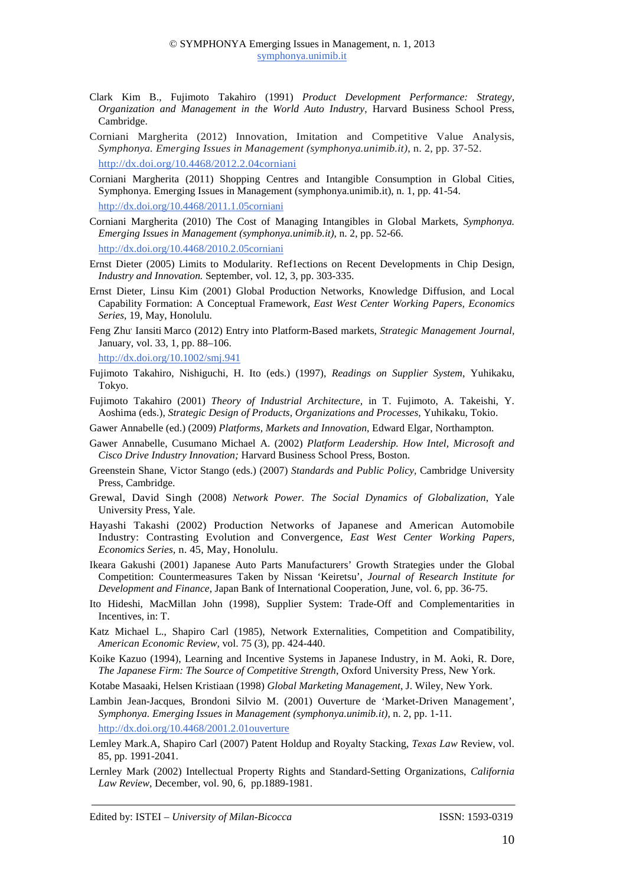- Clark Kim B., Fujimoto Takahiro (1991) *Product Development Performance: Strategy, Organization and Management in the World Auto Industry*, Harvard Business School Press, Cambridge.
- Corniani Margherita (2012) Innovation, Imitation and Competitive Value Analysis, *Symphonya. Emerging Issues in Management (symphonya.unimib.it)*, n. 2, pp. 37-52. http://dx.doi.org/10.4468/2012.2.04corniani
- Corniani Margherita (2011) Shopping Centres and Intangible Consumption in Global Cities, Symphonya. Emerging Issues in Management (symphonya.unimib.it), n. 1, pp. 41-54. http://dx.doi.org/10.4468/2011.1.05corniani
- Corniani Margherita (2010) The Cost of Managing Intangibles in Global Markets, *Symphonya. Emerging Issues in Management (symphonya.unimib.it)*, n. 2, pp. 52-66. http://dx.doi.org/10.4468/2010.2.05corniani
- Ernst Dieter (2005) Limits to Modularity. Ref1ections on Recent Developments in Chip Design, *Industry and Innovation.* September, vol. 12, 3, pp. 303-335.
- Ernst Dieter, Linsu Kim (2001) Global Production Networks, Knowledge Diffusion, and Local Capability Formation: A Conceptual Framework, *East West Center Working Papers, Economics Series,* 19, May, Honolulu.
- Feng Zhu' Iansiti Marco (2012) Entry into Platform-Based markets, Strategic Management Journal, January, vol. 33, 1, pp. 88–106.

http://dx.doi.org/10.1002/smj.941

- Fujimoto Takahiro, Nishiguchi, H. Ito (eds.) (1997), *Readings on Supplier System*, Yuhikaku, Tokyo.
- Fujimoto Takahiro (2001) *Theory of Industrial Architecture,* in T. Fujimoto, A. Takeishi, Y. Aoshima (eds.), *Strategic Design of Products, Organizations and Processes,* Yuhikaku, Tokio.
- Gawer Annabelle (ed.) (2009) *Platforms, Markets and Innovation*, Edward Elgar, Northampton.
- Gawer Annabelle, Cusumano Michael A. (2002) *Platform Leadership. How Intel, Microsoft and Cisco Drive Industry Innovation;* Harvard Business School Press, Boston.
- Greenstein Shane, Victor Stango (eds.) (2007) *Standards and Public Policy,* Cambridge University Press, Cambridge.
- Grewal, David Singh (2008) *Network Power. The Social Dynamics of Globalization*, Yale University Press, Yale.
- Hayashi Takashi (2002) Production Networks of Japanese and American Automobile Industry: Contrasting Evolution and Convergence, *East West Center Working Papers, Economics Series,* n. 45, May, Honolulu.
- Ikeara Gakushi (2001) Japanese Auto Parts Manufacturers' Growth Strategies under the Global Competition: Countermeasures Taken by Nissan 'Keiretsu', *Journal of Research Institute for Development and Finance*, Japan Bank of International Cooperation, June, vol. 6, pp. 36-75.
- Ito Hideshi, MacMillan John (1998), Supplier System: Trade-Off and Complementarities in Incentives, in: T.
- Katz Michael L., Shapiro Carl (1985), Network Externalities, Competition and Compatibility, *American Economic Review,* vol. 75 (3), pp. 424-440.
- Koike Kazuo (1994), Learning and Incentive Systems in Japanese Industry, in M. Aoki, R. Dore, *The Japanese Firm: The Source of Competitive Strength*, Oxford University Press, New York.
- Kotabe Masaaki, Helsen Kristiaan (1998) *Global Marketing Management*, J. Wiley, New York.
- Lambin Jean-Jacques, Brondoni Silvio M. (2001) Ouverture de 'Market-Driven Management', *Symphonya. Emerging Issues in Management (symphonya.unimib.it),* n. 2, pp. 1-11. http://dx.doi.org/10.4468/2001.2.01ouverture
- Lemley Mark.A, Shapiro Carl (2007) Patent Holdup and Royalty Stacking, *Texas Law* Review, vol. 85, pp. 1991-2041.
- Lernley Mark (2002) Intellectual Property Rights and Standard-Setting Organizations, *California Law Review,* December, vol. 90, 6, pp.1889-1981.